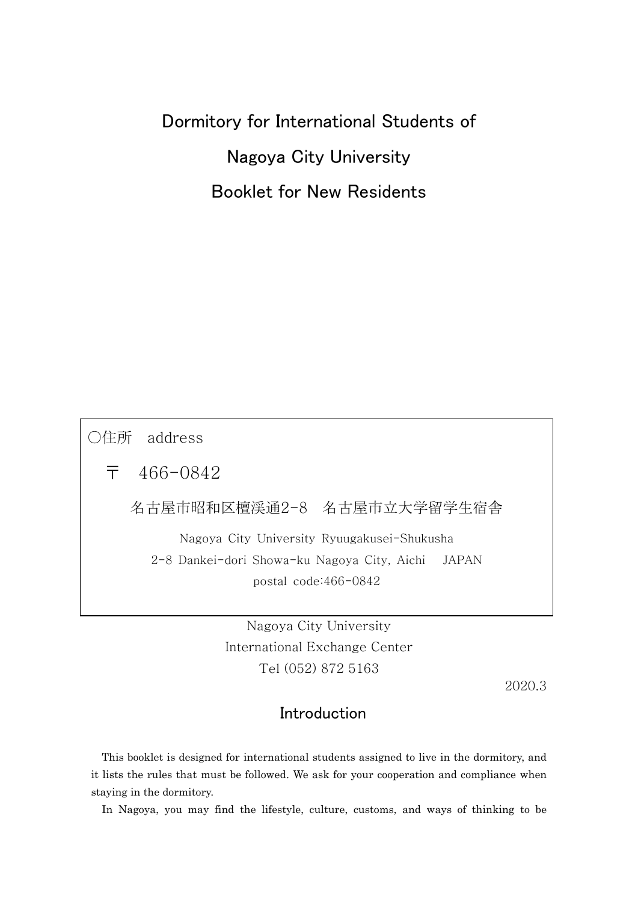Dormitory for International Students of Nagoya City University Booklet for New Residents

○住所 address 〒 466-0842 名古屋市昭和区檀渓通2-8 名古屋市立大学留学生宿舎 Nagoya City University Ryuugakusei-Shukusha 2-8 Dankei-dori Showa-ku Nagoya City, Aichi JAPAN postal code:466-0842

> Nagoya City University International Exchange Center Tel (052) 872 5163

> > 2020.3

# Introduction

This booklet is designed for international students assigned to live in the dormitory, and it lists the rules that must be followed. We ask for your cooperation and compliance when staying in the dormitory.

In Nagoya, you may find the lifestyle, culture, customs, and ways of thinking to be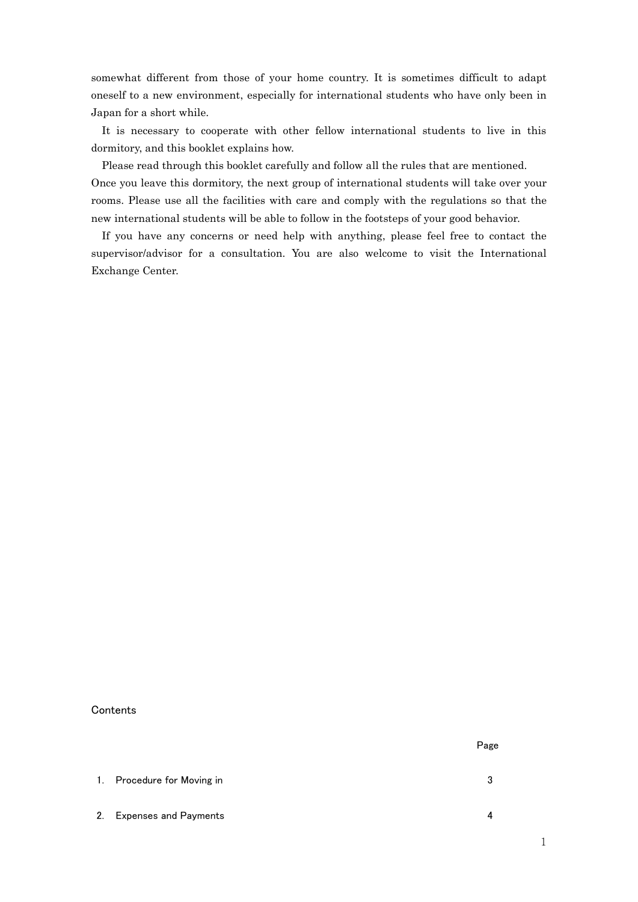somewhat different from those of your home country. It is sometimes difficult to adapt oneself to a new environment, especially for international students who have only been in Japan for a short while.

It is necessary to cooperate with other fellow international students to live in this dormitory, and this booklet explains how.

Please read through this booklet carefully and follow all the rules that are mentioned. Once you leave this dormitory, the next group of international students will take over your rooms. Please use all the facilities with care and comply with the regulations so that the new international students will be able to follow in the footsteps of your good behavior.

If you have any concerns or need help with anything, please feel free to contact the supervisor/advisor for a consultation. You are also welcome to visit the International Exchange Center.

#### **Contents**

| 1. Procedure for Moving in |  |
|----------------------------|--|
| 2. Expenses and Payments   |  |

Page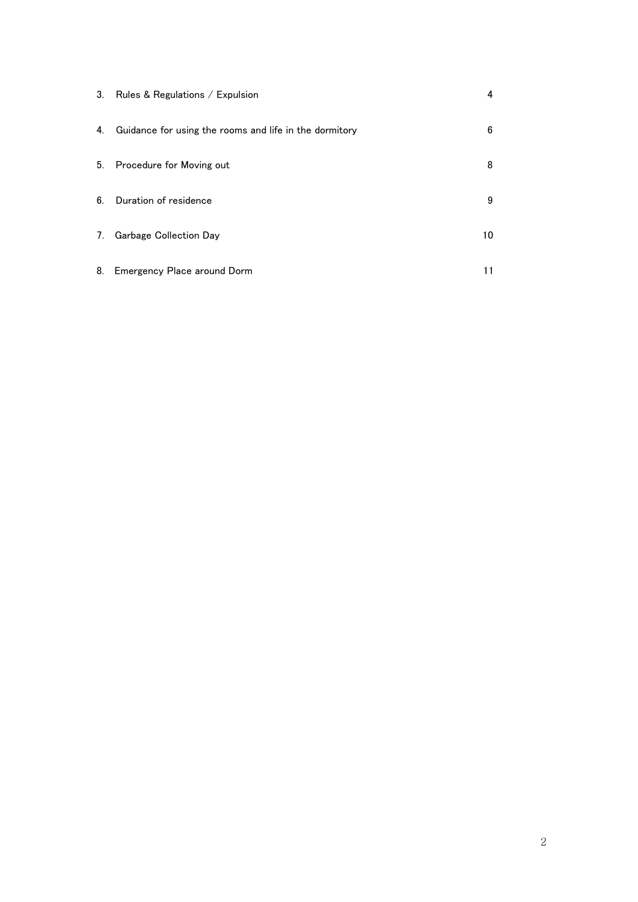|                | 3. Rules & Regulations / Expulsion                     | 4  |
|----------------|--------------------------------------------------------|----|
| 4.             | Guidance for using the rooms and life in the dormitory | 6  |
| 5 <sub>1</sub> | Procedure for Moving out                               | 8  |
| 6.             | Duration of residence                                  | 9  |
|                | 7. Garbage Collection Day                              | 10 |
| 8.             | Emergency Place around Dorm                            | 11 |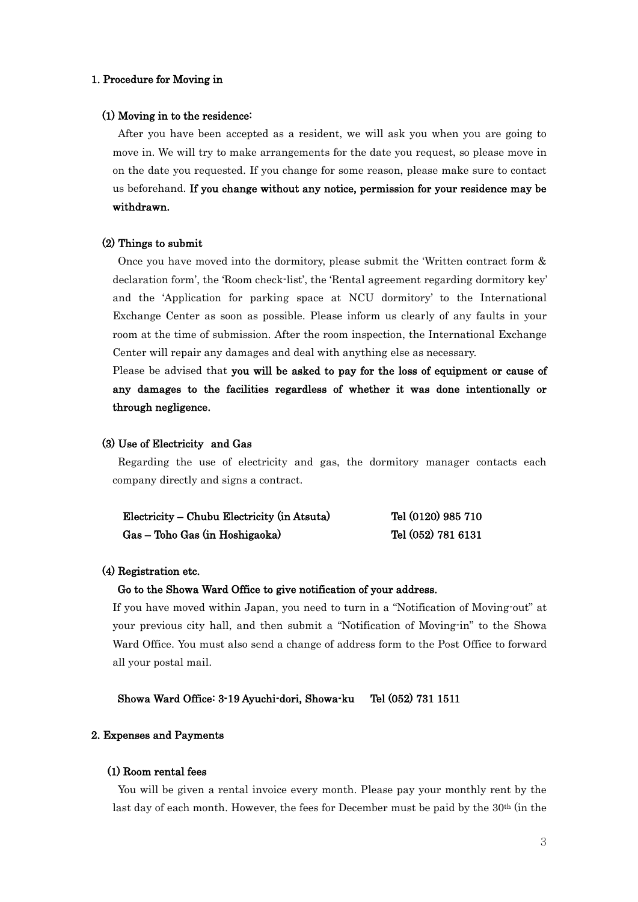# 1. Procedure for Moving in

#### (1) Moving in to the residence:

After you have been accepted as a resident, we will ask you when you are going to move in. We will try to make arrangements for the date you request, so please move in on the date you requested. If you change for some reason, please make sure to contact us beforehand. If you change without any notice, permission for your residence may be withdrawn.

#### (2) Things to submit

Once you have moved into the dormitory, please submit the 'Written contract form & declaration form', the 'Room check-list', the 'Rental agreement regarding dormitory key' and the 'Application for parking space at NCU dormitory' to the International Exchange Center as soon as possible. Please inform us clearly of any faults in your room at the time of submission. After the room inspection, the International Exchange Center will repair any damages and deal with anything else as necessary.

Please be advised that you will be asked to pay for the loss of equipment or cause of any damages to the facilities regardless of whether it was done intentionally or through negligence.

# (3) Use of Electricity and Gas

Regarding the use of electricity and gas, the dormitory manager contacts each company directly and signs a contract.

| Electricity – Chubu Electricity (in Atsuta) | Tel (0120) 985 710 |
|---------------------------------------------|--------------------|
| Gas – Toho Gas (in Hoshigaoka)              | Tel (052) 781 6131 |

# (4) Registration etc.

#### Go to the Showa Ward Office to give notification of your address.

If you have moved within Japan, you need to turn in a "Notification of Moving-out" at your previous city hall, and then submit a "Notification of Moving-in" to the Showa Ward Office. You must also send a change of address form to the Post Office to forward all your postal mail.

#### Showa Ward Office: 3-19 Ayuchi-dori, Showa-ku Tel (052) 731 1511

#### 2. Expenses and Payments

#### (1) Room rental fees

You will be given a rental invoice every month. Please pay your monthly rent by the last day of each month. However, the fees for December must be paid by the 30th (in the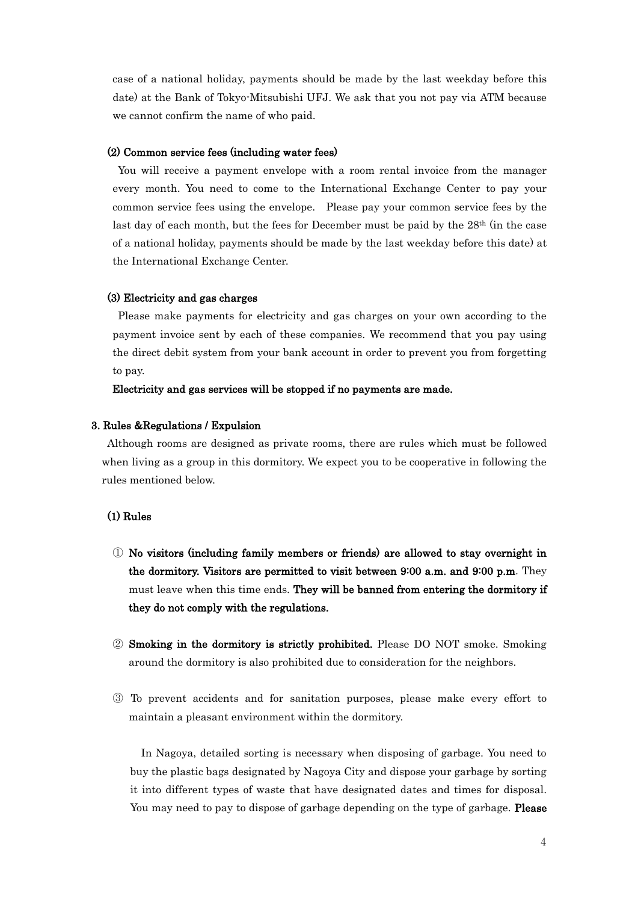case of a national holiday, payments should be made by the last weekday before this date) at the Bank of Tokyo-Mitsubishi UFJ. We ask that you not pay via ATM because we cannot confirm the name of who paid.

#### (2) Common service fees (including water fees)

You will receive a payment envelope with a room rental invoice from the manager every month. You need to come to the International Exchange Center to pay your common service fees using the envelope. Please pay your common service fees by the last day of each month, but the fees for December must be paid by the 28<sup>th</sup> (in the case of a national holiday, payments should be made by the last weekday before this date) at the International Exchange Center.

# (3) Electricity and gas charges

Please make payments for electricity and gas charges on your own according to the payment invoice sent by each of these companies. We recommend that you pay using the direct debit system from your bank account in order to prevent you from forgetting to pay.

#### Electricity and gas services will be stopped if no payments are made.

#### 3. Rules &Regulations / Expulsion

Although rooms are designed as private rooms, there are rules which must be followed when living as a group in this dormitory. We expect you to be cooperative in following the rules mentioned below.

#### (1) Rules

- ① No visitors (including family members or friends) are allowed to stay overnight in the dormitory. Visitors are permitted to visit between 9:00 a.m. and 9:00 p.m. They must leave when this time ends. They will be banned from entering the dormitory if they do not comply with the regulations.
- ② Smoking in the dormitory is strictly prohibited. Please DO NOT smoke. Smoking around the dormitory is also prohibited due to consideration for the neighbors.
- ③ To prevent accidents and for sanitation purposes, please make every effort to maintain a pleasant environment within the dormitory.

In Nagoya, detailed sorting is necessary when disposing of garbage. You need to buy the plastic bags designated by Nagoya City and dispose your garbage by sorting it into different types of waste that have designated dates and times for disposal. You may need to pay to dispose of garbage depending on the type of garbage. **Please**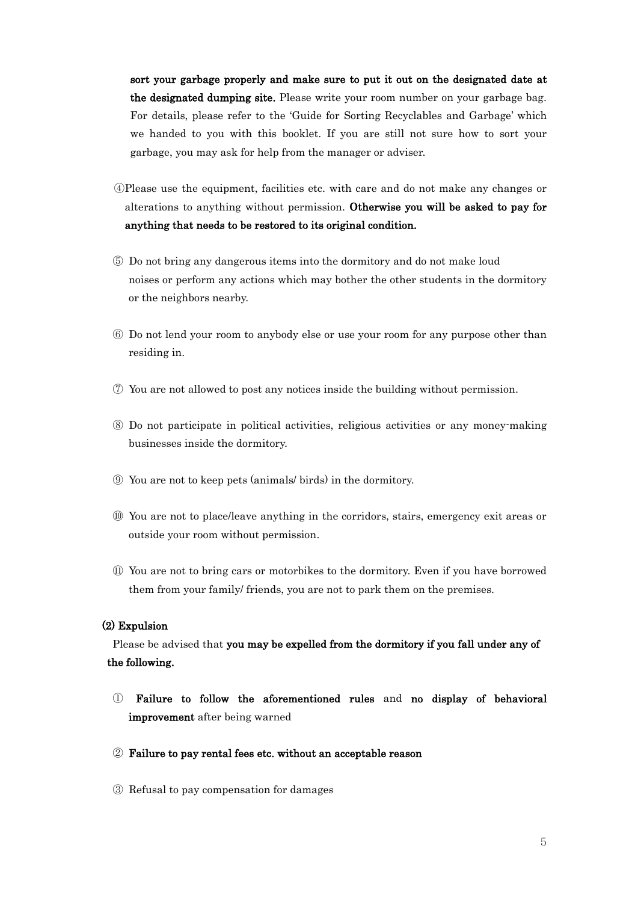sort your garbage properly and make sure to put it out on the designated date at the designated dumping site. Please write your room number on your garbage bag. For details, please refer to the 'Guide for Sorting Recyclables and Garbage' which we handed to you with this booklet. If you are still not sure how to sort your garbage, you may ask for help from the manager or adviser.

- ④Please use the equipment, facilities etc. with care and do not make any changes or alterations to anything without permission. Otherwise you will be asked to pay for anything that needs to be restored to its original condition.
- ⑤ Do not bring any dangerous items into the dormitory and do not make loud noises or perform any actions which may bother the other students in the dormitory or the neighbors nearby.
- ⑥ Do not lend your room to anybody else or use your room for any purpose other than residing in.
- ⑦ You are not allowed to post any notices inside the building without permission.
- ⑧ Do not participate in political activities, religious activities or any money-making businesses inside the dormitory.
- ⑨ You are not to keep pets (animals/ birds) in the dormitory.
- ⑩ You are not to place/leave anything in the corridors, stairs, emergency exit areas or outside your room without permission.
- ⑪ You are not to bring cars or motorbikes to the dormitory. Even if you have borrowed them from your family/ friends, you are not to park them on the premises.

# (2) Expulsion

Please be advised that you may be expelled from the dormitory if you fall under any of the following.

- ① Failure to follow the aforementioned rules and no display of behavioral improvement after being warned
- ② Failure to pay rental fees etc. without an acceptable reason
- ③ Refusal to pay compensation for damages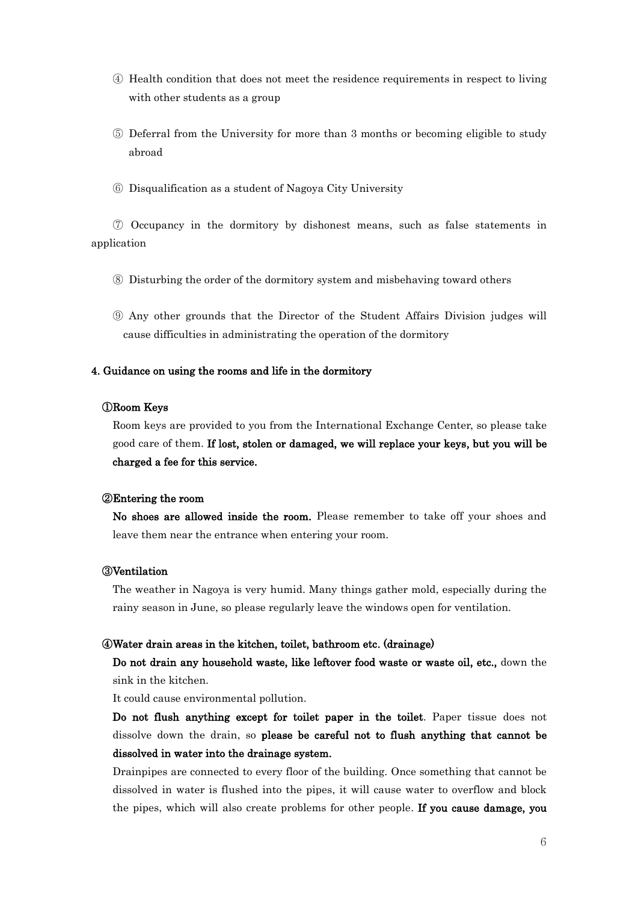- ④ Health condition that does not meet the residence requirements in respect to living with other students as a group
- ⑤ Deferral from the University for more than 3 months or becoming eligible to study abroad
- ⑥ Disqualification as a student of Nagoya City University

⑦ Occupancy in the dormitory by dishonest means, such as false statements in application

- ⑧ Disturbing the order of the dormitory system and misbehaving toward others
- ⑨ Any other grounds that the Director of the Student Affairs Division judges will cause difficulties in administrating the operation of the dormitory

#### 4. Guidance on using the rooms and life in the dormitory

#### ①Room Keys

Room keys are provided to you from the International Exchange Center, so please take good care of them. If lost, stolen or damaged, we will replace your keys, but you will be charged a fee for this service.

#### ②Entering the room

No shoes are allowed inside the room. Please remember to take off your shoes and leave them near the entrance when entering your room.

# ③Ventilation

The weather in Nagoya is very humid. Many things gather mold, especially during the rainy season in June, so please regularly leave the windows open for ventilation.

#### ④Water drain areas in the kitchen, toilet, bathroom etc. (drainage)

Do not drain any household waste, like leftover food waste or waste oil, etc., down the sink in the kitchen.

It could cause environmental pollution.

Do not flush anything except for toilet paper in the toilet. Paper tissue does not dissolve down the drain, so please be careful not to flush anything that cannot be dissolved in water into the drainage system.

Drainpipes are connected to every floor of the building. Once something that cannot be dissolved in water is flushed into the pipes, it will cause water to overflow and block the pipes, which will also create problems for other people. If you cause damage, you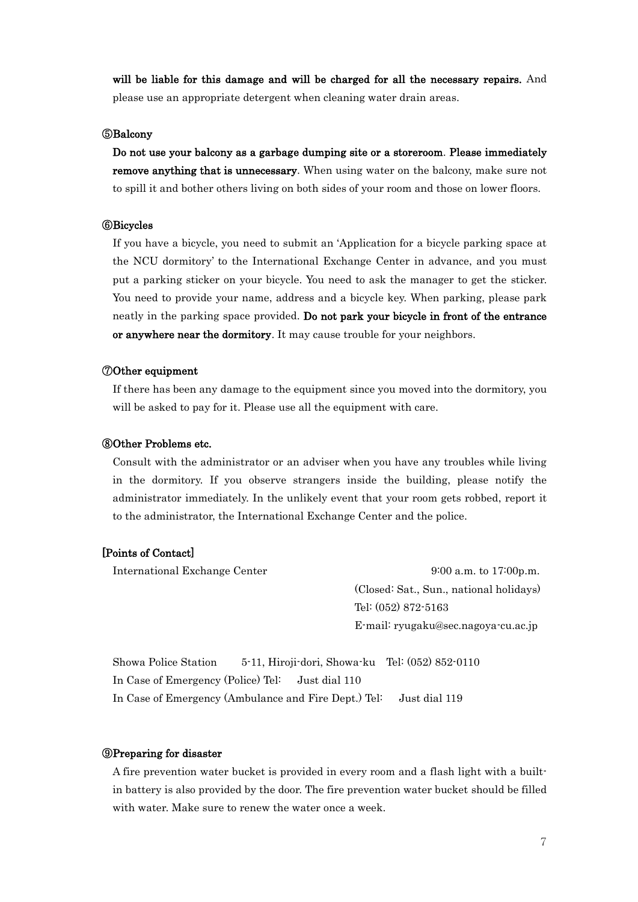will be liable for this damage and will be charged for all the necessary repairs. And please use an appropriate detergent when cleaning water drain areas.

#### ⑤Balcony

Do not use your balcony as a garbage dumping site or a storeroom. Please immediately remove anything that is unnecessary. When using water on the balcony, make sure not to spill it and bother others living on both sides of your room and those on lower floors.

#### ⑥Bicycles

If you have a bicycle, you need to submit an 'Application for a bicycle parking space at the NCU dormitory' to the International Exchange Center in advance, and you must put a parking sticker on your bicycle. You need to ask the manager to get the sticker. You need to provide your name, address and a bicycle key. When parking, please park neatly in the parking space provided. Do not park your bicycle in front of the entrance or anywhere near the dormitory. It may cause trouble for your neighbors.

#### ⑦Other equipment

If there has been any damage to the equipment since you moved into the dormitory, you will be asked to pay for it. Please use all the equipment with care.

# ⑧Other Problems etc.

Consult with the administrator or an adviser when you have any troubles while living in the dormitory. If you observe strangers inside the building, please notify the administrator immediately. In the unlikely event that your room gets robbed, report it to the administrator, the International Exchange Center and the police.

#### [Points of Contact]

International Exchange Center 9:00 a.m. to 17:00p.m. (Closed: Sat., Sun., national holidays) Tel: (052) 872-5163 E-mail: ryugaku@sec.nagoya-cu.ac.jp

Showa Police Station 5-11, Hiroji-dori, Showa-ku Tel: (052) 852-0110 In Case of Emergency (Police) Tel: Just dial 110 In Case of Emergency (Ambulance and Fire Dept.) Tel: Just dial 119

# ⑨Preparing for disaster

A fire prevention water bucket is provided in every room and a flash light with a builtin battery is also provided by the door. The fire prevention water bucket should be filled with water. Make sure to renew the water once a week.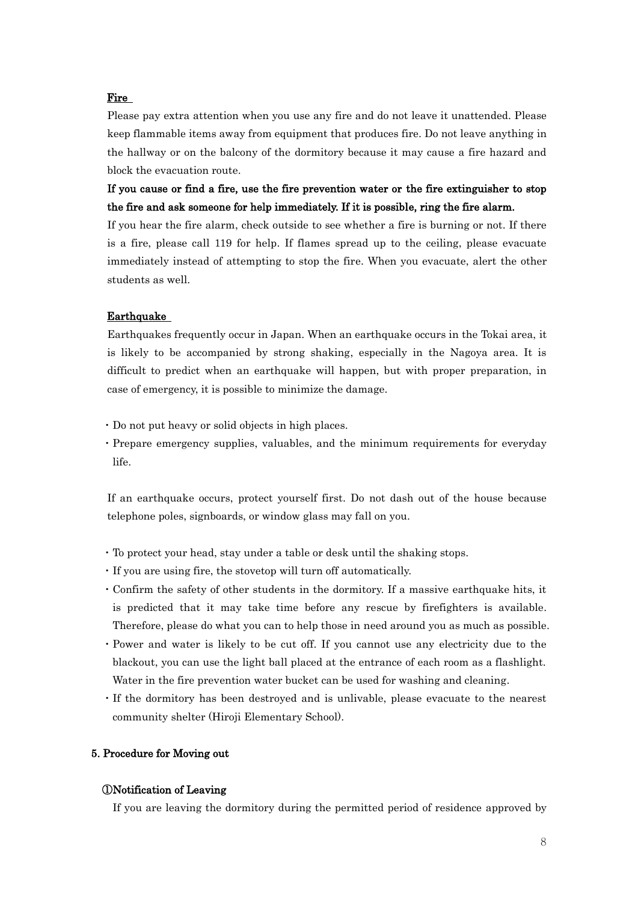#### **Fire**

Please pay extra attention when you use any fire and do not leave it unattended. Please keep flammable items away from equipment that produces fire. Do not leave anything in the hallway or on the balcony of the dormitory because it may cause a fire hazard and block the evacuation route.

# If you cause or find a fire, use the fire prevention water or the fire extinguisher to stop the fire and ask someone for help immediately. If it is possible, ring the fire alarm.

If you hear the fire alarm, check outside to see whether a fire is burning or not. If there is a fire, please call 119 for help. If flames spread up to the ceiling, please evacuate immediately instead of attempting to stop the fire. When you evacuate, alert the other students as well.

# Earthquake

Earthquakes frequently occur in Japan. When an earthquake occurs in the Tokai area, it is likely to be accompanied by strong shaking, especially in the Nagoya area. It is difficult to predict when an earthquake will happen, but with proper preparation, in case of emergency, it is possible to minimize the damage.

- ・Do not put heavy or solid objects in high places.
- ・Prepare emergency supplies, valuables, and the minimum requirements for everyday life.

If an earthquake occurs, protect yourself first. Do not dash out of the house because telephone poles, signboards, or window glass may fall on you.

- ・To protect your head, stay under a table or desk until the shaking stops.
- ・If you are using fire, the stovetop will turn off automatically.
- ・Confirm the safety of other students in the dormitory. If a massive earthquake hits, it is predicted that it may take time before any rescue by firefighters is available. Therefore, please do what you can to help those in need around you as much as possible.
- ・Power and water is likely to be cut off. If you cannot use any electricity due to the blackout, you can use the light ball placed at the entrance of each room as a flashlight. Water in the fire prevention water bucket can be used for washing and cleaning.
- ・If the dormitory has been destroyed and is unlivable, please evacuate to the nearest community shelter (Hiroji Elementary School).

#### 5. Procedure for Moving out

#### ①Notification of Leaving

If you are leaving the dormitory during the permitted period of residence approved by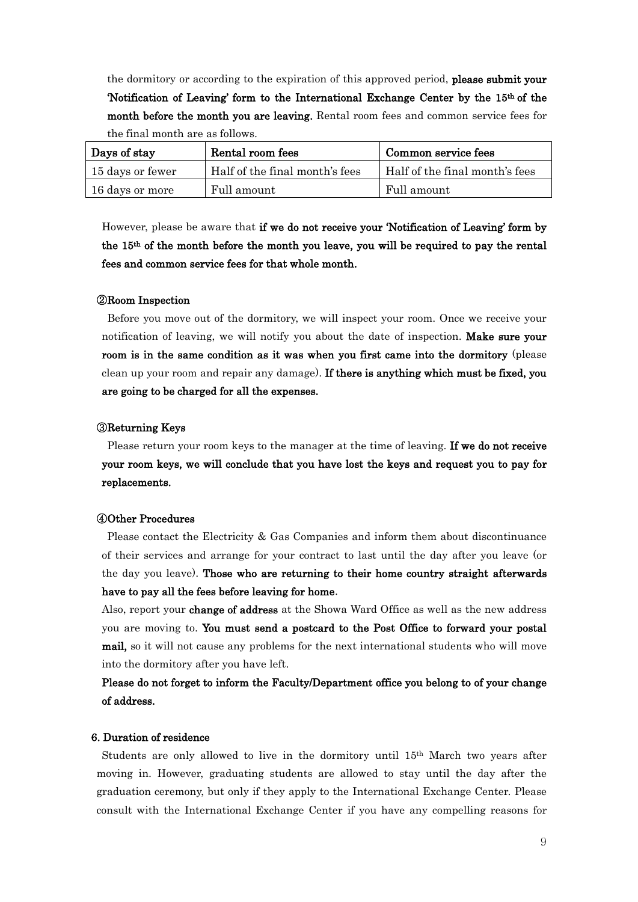the dormitory or according to the expiration of this approved period, please submit your 'Notification of Leaving' form to the International Exchange Center by the  $15<sup>th</sup>$  of the month before the month you are leaving. Rental room fees and common service fees for the final month are as follows.

| Days of stay     | Rental room fees               | Common service fees            |  |  |
|------------------|--------------------------------|--------------------------------|--|--|
| 15 days or fewer | Half of the final month's fees | Half of the final month's fees |  |  |
| 16 days or more  | Full amount                    | Full amount                    |  |  |

However, please be aware that if we do not receive your 'Notification of Leaving' form by the 15th of the month before the month you leave, you will be required to pay the rental fees and common service fees for that whole month.

#### ②Room Inspection

Before you move out of the dormitory, we will inspect your room. Once we receive your notification of leaving, we will notify you about the date of inspection. Make sure your room is in the same condition as it was when you first came into the dormitory (please clean up your room and repair any damage). If there is anything which must be fixed, you are going to be charged for all the expenses.

#### ③Returning Keys

Please return your room keys to the manager at the time of leaving. If we do not receive your room keys, we will conclude that you have lost the keys and request you to pay for replacements.

#### ④Other Procedures

Please contact the Electricity & Gas Companies and inform them about discontinuance of their services and arrange for your contract to last until the day after you leave (or the day you leave). Those who are returning to their home country straight afterwards have to pay all the fees before leaving for home.

Also, report your **change of address** at the Showa Ward Office as well as the new address you are moving to. You must send a postcard to the Post Office to forward your postal mail, so it will not cause any problems for the next international students who will move into the dormitory after you have left.

Please do not forget to inform the Faculty/Department office you belong to of your change of address.

# 6. Duration of residence

Students are only allowed to live in the dormitory until 15th March two years after moving in. However, graduating students are allowed to stay until the day after the graduation ceremony, but only if they apply to the International Exchange Center. Please consult with the International Exchange Center if you have any compelling reasons for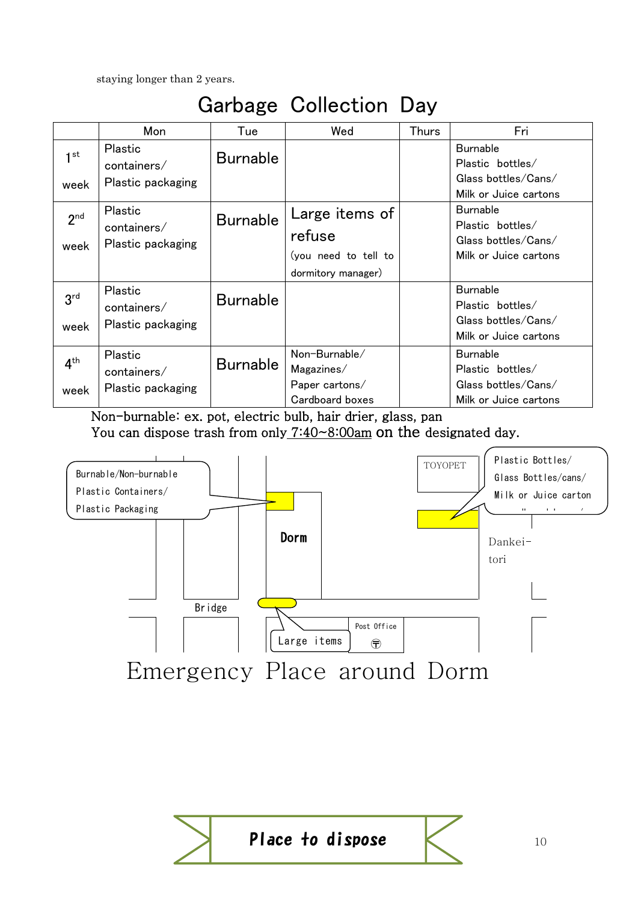staying longer than 2 years.

# Garbage Collection Day

|                 | Mon               | Tue             | Wed                  | Thurs | Fri                   |
|-----------------|-------------------|-----------------|----------------------|-------|-----------------------|
| 1st             | Plastic           |                 |                      |       | <b>Burnable</b>       |
|                 | containers/       | <b>Burnable</b> |                      |       | Plastic bottles/      |
| week            | Plastic packaging |                 |                      |       | Glass bottles/Cans/   |
|                 |                   |                 |                      |       | Milk or Juice cartons |
| 2 <sub>nd</sub> | Plastic           |                 | Large items of       |       | <b>Burnable</b>       |
|                 | containers/       | <b>Burnable</b> |                      |       | Plastic bottles/      |
| week            | Plastic packaging |                 | refuse               |       | Glass bottles/Cans/   |
|                 |                   |                 | (you need to tell to |       | Milk or Juice cartons |
|                 |                   |                 | dormitory manager)   |       |                       |
|                 | Plastic           | <b>Burnable</b> |                      |       | <b>Burnable</b>       |
| 3 <sup>rd</sup> | containers/       |                 |                      |       | Plastic bottles/      |
| week            | Plastic packaging |                 |                      |       | Glass bottles/Cans/   |
|                 |                   |                 |                      |       | Milk or Juice cartons |
|                 | Plastic           |                 | Non-Burnable/        |       | <b>Burnable</b>       |
| 4 <sup>th</sup> | containers/       | <b>Burnable</b> | Magazines/           |       | Plastic bottles/      |
| week            | Plastic packaging |                 | Paper cartons/       |       | Glass bottles/Cans/   |
|                 |                   |                 | Cardboard boxes      |       | Milk or Juice cartons |

Non-burnable: ex. pot, electric bulb, hair drier, glass, pan You can dispose trash from only  $7:40 \sim 8:00$ am on the designated day.